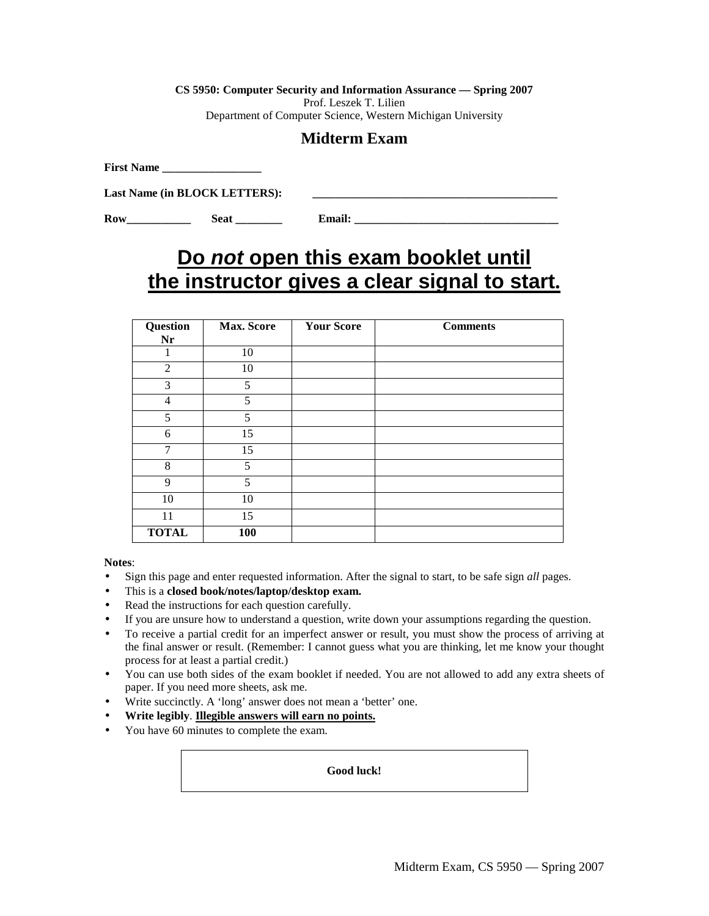**CS 5950: Computer Security and Information Assurance — Spring 2007** 

Prof. Leszek T. Lilien

Department of Computer Science, Western Michigan University

# **Midterm Exam**

**First Name** 

Last Name (in **BLOCK LETTERS**):

**Row\_\_\_\_\_\_\_\_\_\_\_ Seat \_\_\_\_\_\_\_\_ Email: \_\_\_\_\_\_\_\_\_\_\_\_\_\_\_\_\_\_\_\_\_\_\_\_\_\_\_\_\_\_\_\_\_\_\_** 

# **Do not open this exam booklet until the instructor gives a clear signal to start.**

| Question<br>Nr | <b>Max. Score</b> | <b>Your Score</b> | <b>Comments</b> |
|----------------|-------------------|-------------------|-----------------|
| 1              | 10                |                   |                 |
| $\overline{2}$ | 10                |                   |                 |
| 3              | 5                 |                   |                 |
| $\overline{4}$ | 5                 |                   |                 |
| 5              | 5                 |                   |                 |
| 6              | 15                |                   |                 |
| 7              | 15                |                   |                 |
| 8              | 5                 |                   |                 |
| 9              | 5                 |                   |                 |
| 10             | 10                |                   |                 |
| 11             | 15                |                   |                 |
| <b>TOTAL</b>   | 100               |                   |                 |

**Notes**:

- Sign this page and enter requested information. After the signal to start, to be safe sign *all* pages.
- This is a **closed book/notes/laptop/desktop exam.**
- Read the instructions for each question carefully.
- If you are unsure how to understand a question, write down your assumptions regarding the question.
- To receive a partial credit for an imperfect answer or result, you must show the process of arriving at the final answer or result. (Remember: I cannot guess what you are thinking, let me know your thought process for at least a partial credit.)
- You can use both sides of the exam booklet if needed. You are not allowed to add any extra sheets of paper. If you need more sheets, ask me.
- Write succinctly. A 'long' answer does not mean a 'better' one.
- **Write legibly**. **Illegible answers will earn no points.**
- You have 60 minutes to complete the exam.

**Good luck!**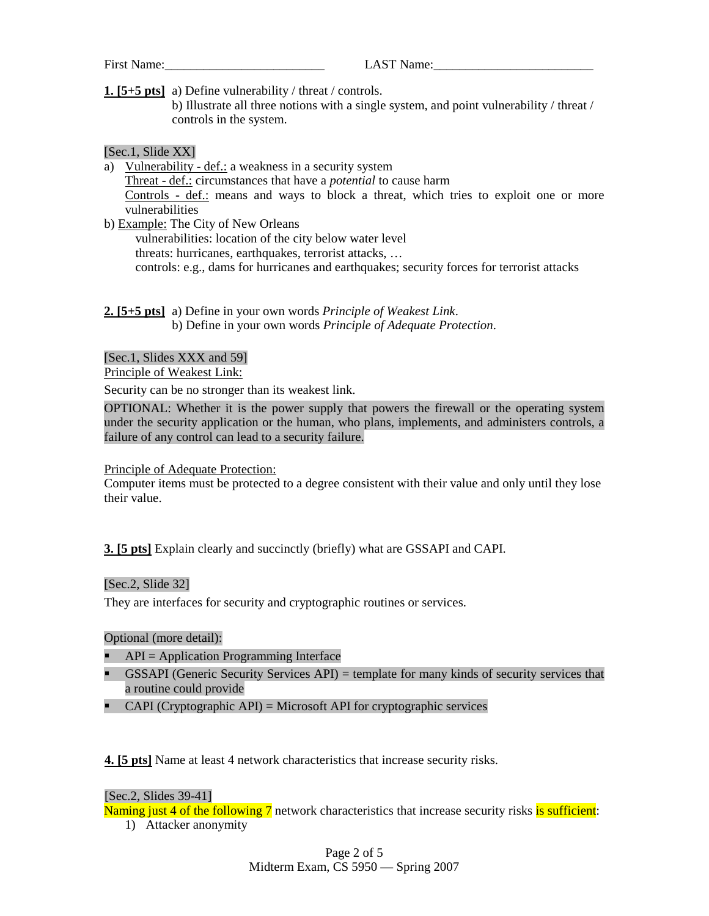First Name: The LAST Name:

**1. [5+5 pts]** a) Define vulnerability / threat / controls.

 b) Illustrate all three notions with a single system, and point vulnerability / threat / controls in the system.

#### [Sec.1, Slide XX]

- a) Vulnerability def.: a weakness in a security system Threat - def.: circumstances that have a *potential* to cause harm Controls - def.: means and ways to block a threat, which tries to exploit one or more vulnerabilities
- b) Example: The City of New Orleans vulnerabilities: location of the city below water level threats: hurricanes, earthquakes, terrorist attacks, … controls: e.g., dams for hurricanes and earthquakes; security forces for terrorist attacks

# **2. [5+5 pts]** a) Define in your own words *Principle of Weakest Link*.

b) Define in your own words *Principle of Adequate Protection*.

#### [Sec.1, Slides XXX and 59]

Principle of Weakest Link:

Security can be no stronger than its weakest link.

OPTIONAL: Whether it is the power supply that powers the firewall or the operating system under the security application or the human, who plans, implements, and administers controls, a failure of any control can lead to a security failure.

#### Principle of Adequate Protection:

Computer items must be protected to a degree consistent with their value and only until they lose their value.

#### **3. [5 pts]** Explain clearly and succinctly (briefly) what are GSSAPI and CAPI.

#### [Sec.2, Slide 32]

They are interfaces for security and cryptographic routines or services.

#### Optional (more detail):

- $\blacksquare$  API = Application Programming Interface
- GSSAPI (Generic Security Services API) = template for many kinds of security services that a routine could provide
- CAPI (Cryptographic API) = Microsoft API for cryptographic services

**4. [5 pts]** Name at least 4 network characteristics that increase security risks.

#### [Sec.2, Slides 39-41]

Naming just 4 of the following 7 network characteristics that increase security risks is sufficient:

1) Attacker anonymity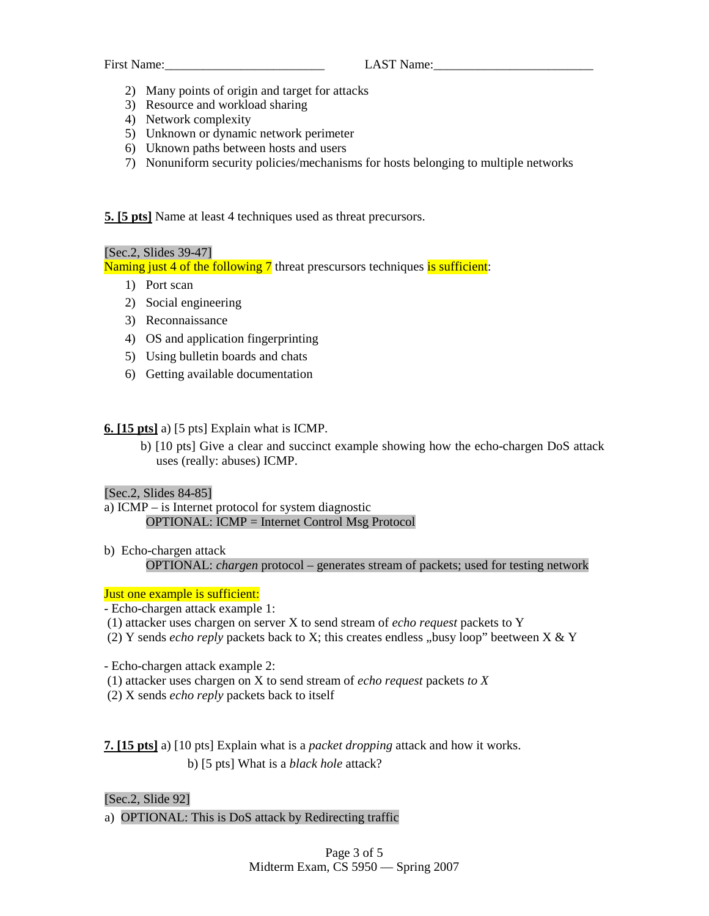- 2) Many points of origin and target for attacks
- 3) Resource and workload sharing
- 4) Network complexity
- 5) Unknown or dynamic network perimeter
- 6) Uknown paths between hosts and users
- 7) Nonuniform security policies/mechanisms for hosts belonging to multiple networks

**5. [5 pts]** Name at least 4 techniques used as threat precursors.

#### [Sec.2, Slides 39-47]

Naming just 4 of the following 7 threat prescursors techniques is sufficient:

- 1) Port scan
- 2) Social engineering
- 3) Reconnaissance
- 4) OS and application fingerprinting
- 5) Using bulletin boards and chats
- 6) Getting available documentation

#### **6. [15 pts]** a) [5 pts] Explain what is ICMP.

 b) [10 pts] Give a clear and succinct example showing how the echo-chargen DoS attack uses (really: abuses) ICMP.

#### [Sec.2, Slides 84-85]

- a) ICMP is Internet protocol for system diagnostic OPTIONAL: ICMP = Internet Control Msg Protocol
- b) Echo-chargen attack OPTIONAL: *chargen* protocol – generates stream of packets; used for testing network

#### Just one example is sufficient:

- Echo-chargen attack example 1:
- (1) attacker uses chargen on server X to send stream of *echo request* packets to Y
- (2) Y sends *echo reply* packets back to X; this creates endless "busy loop" beetween X & Y
- Echo-chargen attack example 2:
- (1) attacker uses chargen on X to send stream of *echo request* packets *to X*
- (2) X sends *echo reply* packets back to itself

**7. [15 pts]** a) [10 pts] Explain what is a *packet dropping* attack and how it works. b) [5 pts] What is a *black hole* attack?

[Sec.2, Slide 92]

a) OPTIONAL: This is DoS attack by Redirecting traffic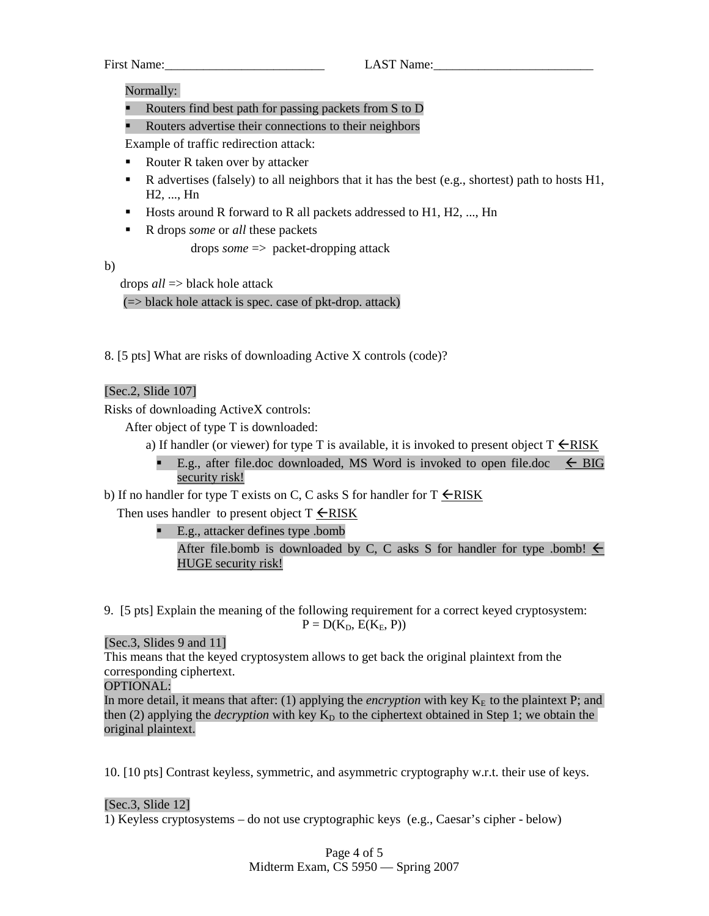First Name: The Contract Contract Contract Contract Contract Contract Contract Contract Contract Contract Contract Contract Contract Contract Contract Contract Contract Contract Contract Contract Contract Contract Contract

Normally:

- Routers find best path for passing packets from S to D
- Routers advertise their connections to their neighbors

Example of traffic redirection attack:

- Router R taken over by attacker
- R advertises (falsely) to all neighbors that it has the best (e.g., shortest) path to hosts  $H1$ , H2, ..., Hn
- $\blacksquare$  Hosts around R forward to R all packets addressed to H1, H2, ..., Hn
- R drops *some* or *all* these packets

drops *some* => packet-dropping attack

b)

drops *all* => black hole attack

 $(=)$  black hole attack is spec. case of pkt-drop. attack)

8. [5 pts] What are risks of downloading Active X controls (code)?

# [Sec.2, Slide 107]

Risks of downloading ActiveX controls:

After object of type T is downloaded:

- a) If handler (or viewer) for type T is available, it is invoked to present object  $T \leq RISK$ 
	- E.g., after file.doc downloaded, MS Word is invoked to open file.doc  $\leq$  BIG security risk!

b) If no handler for type T exists on C, C asks S for handler for  $T \leq RISK$ 

Then uses handler to present object  $T \leq RISK$ 

E.g., attacker defines type .bomb

After file.bomb is downloaded by C, C asks S for handler for type .bomb!  $\leq$ HUGE security risk!

9. [5 pts] Explain the meaning of the following requirement for a correct keyed cryptosystem:  $P = D(K_D, E(K_E, P))$ 

# [Sec.3, Slides 9 and 11]

This means that the keyed cryptosystem allows to get back the original plaintext from the corresponding ciphertext.

# OPTIONAL:

In more detail, it means that after: (1) applying the *encryption* with key  $K<sub>E</sub>$  to the plaintext P; and then (2) applying the *decryption* with key  $K<sub>D</sub>$  to the ciphertext obtained in Step 1; we obtain the original plaintext.

10. [10 pts] Contrast keyless, symmetric, and asymmetric cryptography w.r.t. their use of keys.

# [Sec.3, Slide 12]

1) Keyless cryptosystems – do not use cryptographic keys (e.g., Caesar's cipher - below)